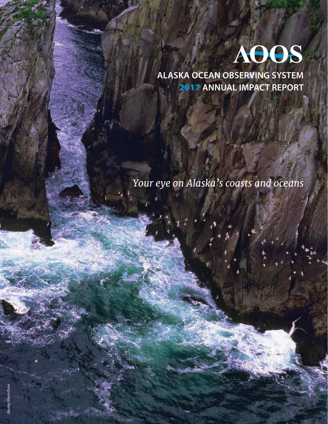

**ALASKA OCEAN OBSERVING SYSTEM**  2017 **ANNUAL IMPACT REPORT**

1

ર હ

*Your eye on Alaska's coasts and oceans*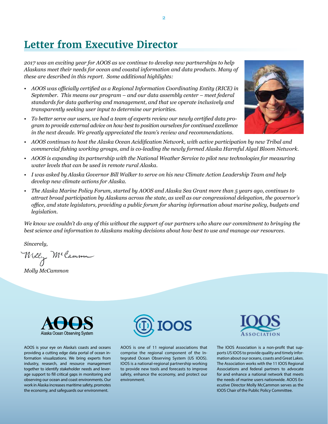# **Letter from Executive Director**

*2017 was an exciting year for AOOS as we continue to develop new partnerships to help Alaskans meet their needs for ocean and coastal information and data products. Many of these are described in this report. Some additional highlights:*

- *• AOOS was officially certified as a Regional Information Coordinating Entity (RICE) in September. This means our program – and our data assembly center – meet federal standards for data gathering and management, and that we operate inclusively and transparently seeking user input to determine our priorities.*
- *• To better serve our users, we had a team of experts review our newly certified data program to provide external advice on how best to position ourselves for continued excellence in the next decade. We greatly appreciated the team's review and recommendations.*



- *• AOOS is expanding its partnership with the National Weather Service to pilot new technologies for measuring water levels that can be used in remote rural Alaska.*
- I was asked by Alaska Governor Bill Walker to serve on his new Climate Action Leadership Team and help *develop new climate actions for Alaska.*
- The Alaska Marine Policy Forum, started by AOOS and Alaska Sea Grant more than 5 years ago, continues to *attract broad participation by Alaskans across the state, as well as our congressional delegation, the governor's office, and state legislators, providing a public forum for sharing information about marine policy, budgets and legislation.*

*We know we couldn't do any of this without the support of our partners who share our commitment to bringing the best science and information to Alaskans making decisions about how best to use and manage our resources.*

*Sincerely,*

Welly McCamme

*Molly McCammon*



AOOS is your eye on Alaska's coasts and oceans providing a cutting edge data portal of ocean information visualizations. We bring experts from industry, research, and resource management together to identify stakeholder needs and leverage support to fill critical gaps in monitoring and observing our ocean and coast environments. Our work in Alaska increases maritime safety, promotes the economy, and safeguards our environment.



AOOS is one of 11 regional associations that comprise the regional component of the Integrated Ocean Observing System (US IOOS). IOOS is a national-regional partnership working to provide new tools and forecasts to improve safety, enhance the economy, and protect our environment.



The IOOS Association is a non-profit that supports US IOOS to provide quality and timely information about our oceans, coasts and Great Lakes. The Association works with the 11 IOOS Regional Associations and federal partners to advocate for and enhance a national network that meets the needs of marine users nationwide. AOOS Executive Director Molly McCammon serves as the IOOS Chair of the Public Policy Committee.

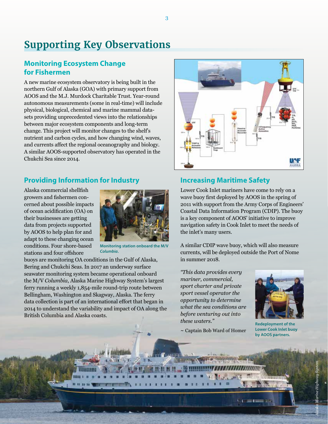# **Supporting Key Observations**

## **Monitoring Ecosystem Change for Fishermen**

A new marine ecosystem observatory is being built in the northern Gulf of Alaska (GOA) with primary support from AOOS and the M.J. Murdock Charitable Trust. Year-round autonomous measurements (some in real-time) will include physical, biological, chemical and marine mammal datasets providing unprecedented views into the relationships between major ecosystem components and long-term change. This project will monitor changes to the shelf's nutrient and carbon cycles, and how changing wind, waves, and currents affect the regional oceanography and biology. A similar AOOS-supported observatory has operated in the Chukchi Sea since 2014.

## **Providing Information for Industry**

Alaska commercial shellfish growers and fishermen concerned about possible impacts of ocean acidification (OA) on their businesses are getting data from projects supported by AOOS to help plan for and adapt to these changing ocean conditions. Four shore-based stations and four offshore



**Monitoring station onboard the M/V**  *Columbia***.**

buoys are monitoring OA conditions in the Gulf of Alaska, Bering and Chukchi Seas. In 2017 an underway surface seawater monitoring system became operational onboard the M/V *Columbia*, Alaska Marine Highway System's largest ferry running a weekly 1,854-mile round-trip route between Bellingham, Washington and Skagway, Alaska. The ferry data collection is part of an international effort that began in 2014 to understand the variability and impact of OA along the British Columbia and Alaska coasts.



### **Increasing Maritime Safety**

Lower Cook Inlet mariners have come to rely on a wave buoy first deployed by AOOS in the spring of 2011 with support from the Army Corps of Engineers' Coastal Data Information Program (CDIP). The buoy is a key component of AOOS' initiative to improve navigation safety in Cook Inlet to meet the needs of the inlet's many users.

A similar CDIP wave buoy, which will also measure currents, will be deployed outside the Port of Nome in summer 2018.

*"This data provides every mariner, commercial, sport charter and private sport vessel operator the opportunity to determine what the sea conditions are before venturing out into these waters."*

 $\sim$  Captain Bob Ward of Homer



**Redeployment of the Lower Cook Inlet buoy by AOOS partners.**

3

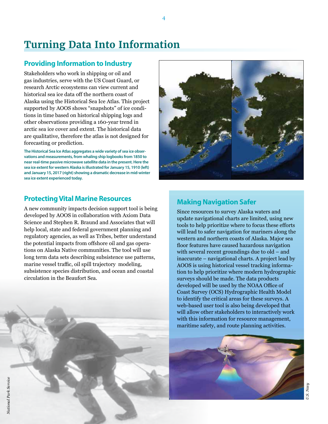# **Turning Data Into Information**

## **Providing Information to Industry**

Stakeholders who work in shipping or oil and gas industries, serve with the US Coast Guard, or research Arctic ecosystems can view current and historical sea ice data off the northern coast of Alaska using the Historical Sea Ice Atlas. This project supported by AOOS shows "snapshots" of ice conditions in time based on historical shipping logs and other observations providing a 160-year trend in arctic sea ice cover and extent. The historical data are qualitative, therefore the atlas is not designed for forecasting or prediction.

**The Historical Sea Ice Atlas aggregates a wide variety of sea ice observations and measurements, from whaling ship logbooks from 1850 to near real-time passive microwave satellite data in the present. Here the sea ice extent for western Alaska is illustrated for January 15, 1910 (left) and January 15, 2017 (right) showing a dramatic decrease in mid-winter sea ice extent experienced today.**

## **Protecting Vital Marine Resources**

A new community impacts decision support tool is being developed by AOOS in collaboration with Axiom Data Science and Stephen R. Braund and Associates that will help local, state and federal government planning and regulatory agencies, as well as Tribes, better understand the potential impacts from offshore oil and gas operations on Alaska Native communities. The tool will use long term data sets describing subsistence use patterns, marine vessel traffic, oil spill trajectory modeling, subsistence species distribution, and ocean and coastal circulation in the Beaufort Sea.



## **Making Navigation Safer**

Since resources to survey Alaska waters and update navigational charts are limited, using new tools to help prioritize where to focus these efforts will lead to safer navigation for mariners along the western and northern coasts of Alaska. Major sea floor features have caused hazardous navigation with several recent groundings due to old – and inaccurate – navigational charts. A project lead by AOOS is using historical vessel tracking information to help prioritize where modern hydrographic surveys should be made. The data products developed will be used by the NOAA Office of Coast Survey (OCS) Hydrographic Health Model to identify the critical areas for these surveys. A web-based user tool is also being developed that will allow other stakeholders to interactively work with this information for resource management, maritime safety, and route planning activities.

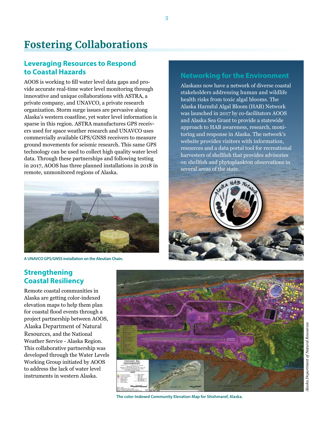# **Fostering Collaborations**

## **Leveraging Resources to Respond to Coastal Hazards**

AOOS is working to fill water level data gaps and provide accurate real-time water level monitoring through innovative and unique collaborations with ASTRA, a private company, and UNAVCO, a private research organization. Storm surge issues are pervasive along Alaska's western coastline, yet water level information is sparse in this region. ASTRA manufactures GPS receivers used for space weather research and UNAVCO uses commercially available GPS/GNSS receivers to measure ground movements for seismic research. This same GPS technology can be used to collect high quality water level data. Through these partnerships and following testing in 2017, AOOS has three planned installations in 2018 in remote, unmonitored regions of Alaska.



**A UNAVCO GPS/GNSS installation on the Aleutian Chain.**

## **Networking for the Environment**

Alaskans now have a network of diverse coastal stakeholders addressing human and wildlife health risks from toxic algal blooms. The Alaska Harmful Algal Bloom (HAB) Network was launched in 2017 by co-facilitators AOOS and Alaska Sea Grant to provide a statewide approach to HAB awareness, research, monitoring and response in Alaska. The network's website provides visitors with information, resources and a data portal tool for recreational harvesters of shellfish that provides advisories on shellfish and phytoplankton observations in several areas of the state.



## **Strengthening Coastal Resiliency**

Remote coastal communities in Alaska are getting color-indexed elevation maps to help them plan for coastal flood events through a project partnership between AOOS, Alaska Department of Natural Resources, and the National Weather Service - Alaska Region. This collaborative partnership was developed through the Water Levels Working Group initiated by AOOS to address the lack of water level instruments in western Alaska.



**The color-Indexed Community Elevation Map for Shishmaref, Alaska.**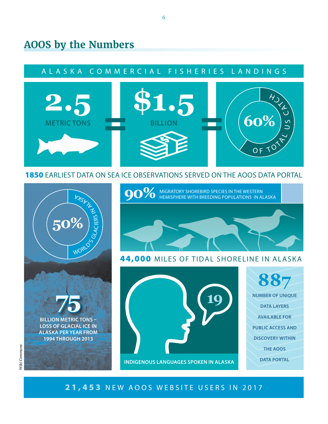## **AOOS by the Numbers**

## A L A S K A C O M M E R C I A L F I S H E R I E S L A N D I N G S



1850 EARLIEST DATA ON SEA ICE OBSERVATIONS SERVED ON THE AOOS DATA PORTAL

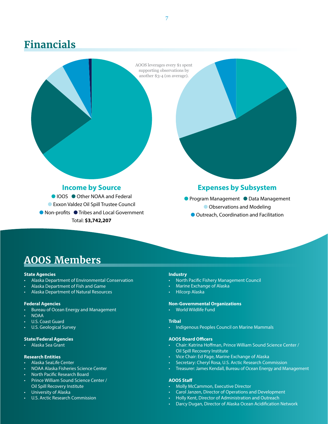## **Financials**

AOOS leverages every \$1 spent supporting observations by another \$3-4 (on average).

### **Income by Source**

● IOOS ● Other NOAA and Federal **C** Exxon Valdez Oil Spill Trustee Council ● Non-profits ● Tribes and Local Government Total: **\$3,742,207**

### **Expenses by Subsystem**

**• Program Management • Data Management C** Observations and Modeling **O** Outreach, Coordination and Facilitation

## **AOOS Members**

### **State Agencies**

- Alaska Department of Environmental Conservation
- Alaska Department of Fish and Game
- Alaska Department of Natural Resources

### **Federal Agencies**

- Bureau of Ocean Energy and Management
- NOAA
- U.S. Coast Guard
- U.S. Geological Survey

### **State/Federal Agencies**

• Alaska Sea Grant

### **Research Entities**

- Alaska SeaLife Center
- NOAA Alaska Fisheries Science Center
- North Pacific Research Board
- Prince William Sound Science Center / Oil Spill Recovery Institute
- University of Alaska
- U.S. Arctic Research Commission

### **Industry**

- North Pacific Fishery Management Council
- Marine Exchange of Alaska
- Hilcorp Alaska

### **Non-Governmental Organizations**

• World Wildlife Fund

### **Tribal**

• Indigenous Peoples Council on Marine Mammals

#### **AOOS Board Officers**

- Chair: Katrina Hoffman, Prince William Sound Science Center / Oil Spill Recovery Institute
- Vice Chair: Ed Page, Marine Exchange of Alaska
- Secretary: Cheryl Rosa, U.S. Arctic Research Commission
- Treasurer: James Kendall, Bureau of Ocean Energy and Management

### **AOOS Staff**

- Molly McCammon, Executive Director
- Carol Janzen, Director of Operations and Development
- Holly Kent, Director of Administration and Outreach
- Darcy Dugan, Director of Alaska Ocean Acidification Network